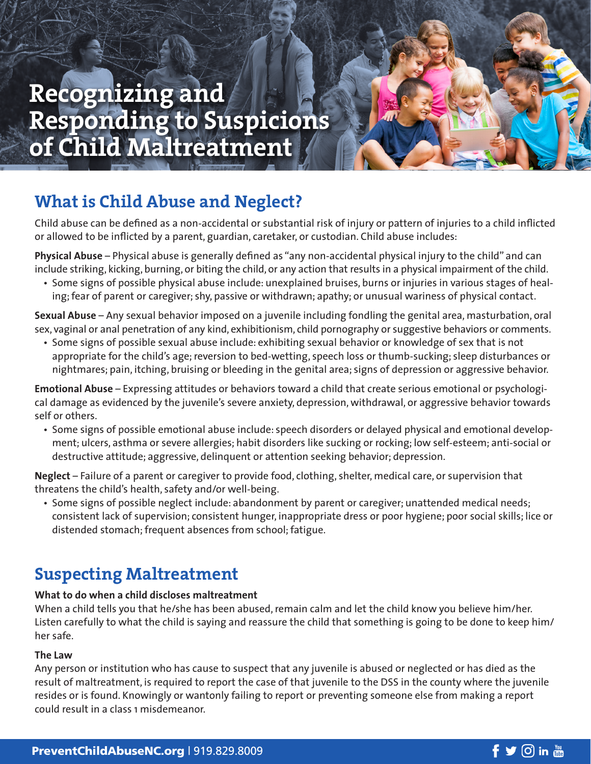# **Recognizing and Responding to Suspicions of Child Maltreatment**

## **What is Child Abuse and Neglect?**

Child abuse can be defined as a non-accidental or substantial risk of injury or pattern of injuries to a child inflicted or allowed to be inflicted by a parent, guardian, caretaker, or custodian. Child abuse includes:

**Physical Abuse** – Physical abuse is generally defined as "any non-accidental physical injury to the child" and can include striking, kicking, burning, or biting the child, or any action that results in a physical impairment of the child.

• Some signs of possible physical abuse include: unexplained bruises, burns or injuries in various stages of healing; fear of parent or caregiver; shy, passive or withdrawn; apathy; or unusual wariness of physical contact.

**Sexual Abuse** – Any sexual behavior imposed on a juvenile including fondling the genital area, masturbation, oral sex, vaginal or anal penetration of any kind, exhibitionism, child pornography or suggestive behaviors or comments.

• Some signs of possible sexual abuse include: exhibiting sexual behavior or knowledge of sex that is not appropriate for the child's age; reversion to bed-wetting, speech loss or thumb-sucking; sleep disturbances or nightmares; pain, itching, bruising or bleeding in the genital area; signs of depression or aggressive behavior.

**Emotional Abuse** – Expressing attitudes or behaviors toward a child that create serious emotional or psychological damage as evidenced by the juvenile's severe anxiety, depression, withdrawal, or aggressive behavior towards self or others.

• Some signs of possible emotional abuse include: speech disorders or delayed physical and emotional development; ulcers, asthma or severe allergies; habit disorders like sucking or rocking; low self-esteem; anti-social or destructive attitude; aggressive, delinquent or attention seeking behavior; depression.

**Neglect** – Failure of a parent or caregiver to provide food, clothing, shelter, medical care, or supervision that threatens the child's health, safety and/or well-being.

• Some signs of possible neglect include: abandonment by parent or caregiver; unattended medical needs; consistent lack of supervision; consistent hunger, inappropriate dress or poor hygiene; poor social skills; lice or distended stomach; frequent absences from school; fatigue.

### **Suspecting Maltreatment**

### **What to do when a child discloses maltreatment**

When a child tells you that he/she has been abused, remain calm and let the child know you believe him/her. Listen carefully to what the child is saying and reassure the child that something is going to be done to keep him/ her safe.

#### **The Law**

Any person or institution who has cause to suspect that any juvenile is abused or neglected or has died as the result of maltreatment, is required to report the case of that juvenile to the DSS in the county where the juvenile resides or is found. Knowingly or wantonly failing to report or preventing someone else from making a report could result in a class 1 misdemeanor.